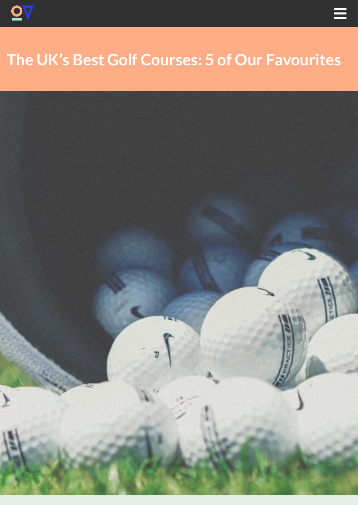

# **The UK's Best Golf Courses: 5 of Our Favourites**

 $\equiv$ 

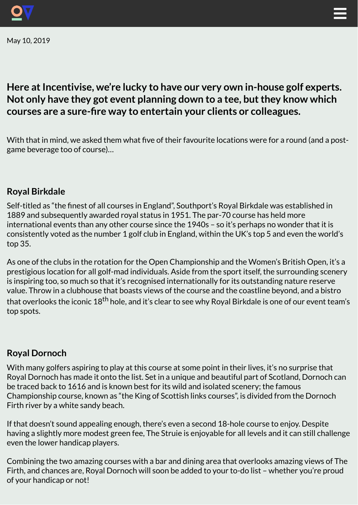

May 10, 2019



# **Here** at Incentivise, we're lucky to have our very own in-house golf experts. **Not only have they got event planning down to a tee, butthey know which courses are a sure-re way to entertain your clients or colleagues.**

With that in mind, we asked them what five of their favourite locations were for a round (and a postgame beverage too of course)…

## **Royal Birkdale**

Self-titled as "the finest of all courses in England", Southport's Royal Birkdale was established in 1889 and subsequently awarded royal status in 1951. The par-70 course has held more international events than any other course since the 1940s – so it's perhaps no wonder that it is consistently voted as the number 1 golf club in England, within the UK's top 5 and even the world's top 35.

As one of the clubs in the rotation for the Open Championship and the Women's British Open, it's a prestigious location for all golf-mad individuals. Aside from the sport itself, the surrounding scenery is inspiring too, so much so that it's recognised internationally for its outstanding nature reserve value. Throw in a clubhouse that boasts views of the course and the coastline beyond, and a bistro that overlooks the iconic 18<sup>th</sup> hole, and it's clear to see why Royal Birkdale is one of our event team's top spots.

### **Royal Dornoch**

With many golfers aspiring to play at this course at some point in their lives, it's no surprise that Royal Dornoch has made it onto the list. Set in a unique and beautiful part of Scotland, Dornoch can be traced back to 1616 and is known best for its wild and isolated scenery; the famous Championship course, known as "the King of Scottish links courses", is divided from the Dornoch Firth river by a white sandy beach.

If that doesn't sound appealing enough, there's even a second 18-hole course to enjoy. Despite having a slightly more modest green fee, The Struie is enjoyable for all levels and it can still challenge even the lower handicap players.

Combining the two amazing courses with a bar and dining area that overlooks amazing views of The Firth, and chances are, Royal Dornoch will soon be added to your to-do list – whether you're proud of your handicap or not!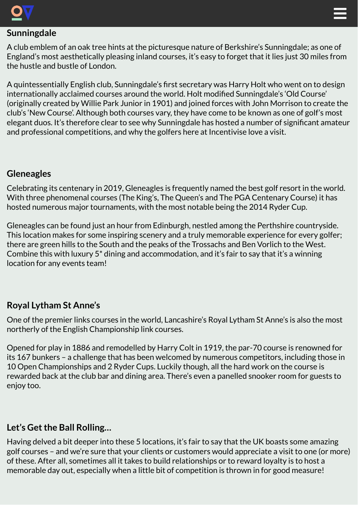



# **Sunningdale**

A club emblem of an oak tree hints at the picturesque nature of Berkshire's Sunningdale; as one of England's most aesthetically pleasing inland courses, it's easy to forget that it lies just 30 miles from the hustle and bustle of London.

A quintessentially English club, Sunningdale's first secretary was Harry Holt who went on to design internationally acclaimed courses around the world. Holt modified Sunningdale's 'Old Course' (originally created by Willie Park Junior in 1901) and joined forces with John Morrison to create the club's 'New Course'. Although both courses vary, they have come to be known as one of golf's most elegant duos. It's therefore clear to see why Sunningdale has hosted a number of significant amateur and professional competitions, and why the golfers here at Incentivise love a visit.

### **Gleneagles**

Celebrating its centenary in 2019, Gleneagles is frequently named the best golf resort in the world. With three phenomenal courses (The King's, The Queen's and The PGA Centenary Course) it has hosted numerous major tournaments, with the most notable being the 2014 Ryder Cup.

Gleneagles can be found just an hour from Edinburgh, nestled among the Perthshire countryside. This location makes for some inspiring scenery and a truly memorable experience for every golfer; there are green hills to the South and the peaks of the Trossachs and Ben Vorlich to the West. Combine this with luxury 5\* dining and accommodation, and it's fair to say that it's a winning location for any events team!

# **Royal Lytham St Anne's**

One of the premier links courses in the world, Lancashire's Royal Lytham St Anne's is also the most northerly of the English Championship link courses.

Opened for play in 1886 and remodelled by Harry Colt in 1919, the par-70 course is renowned for its 167 bunkers – a challenge that has been welcomed by numerous competitors, including those in 10 Open Championships and 2 Ryder Cups. Luckily though, all the hard work on the course is rewarded back at the club bar and dining area. There's even a panelled snooker room for guests to enjoy too.

# **Let's Get the Ball Rolling...**

Having delved a bit deeper into these 5 locations, it's fair to say that the UK boasts some amazing golf courses – and we're sure that your clients or customers would appreciate a visit to one (or more) of these. After all, sometimes all it takes to build relationships or to reward loyalty is to host a memorable day out, especially when a little bit of competition is thrown in for good measure!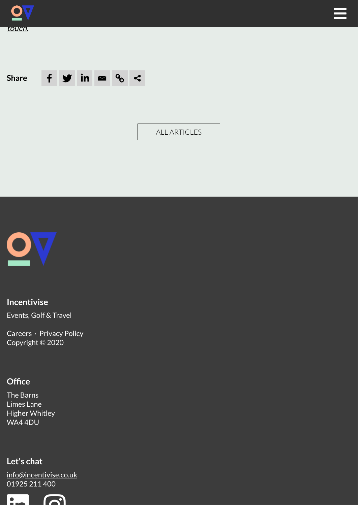





ALL [ARTICLES](https://incentivise.co.uk/our-thoughts)



#### **Incentivise**

Events, Golf & Travel

[Careers](https://incentivise.co.uk/contact/#join-us) · [Privacy](https://incentivise.co.uk/gdpr) Policy Copyright © 2020

#### **Office**

The Barns Limes Lane Higher Whitley WA4 4DU

#### **Let's chat**

[info@incentivise.co.uk](mailto:info@incentivise.co.uk) [01925](tel:01925 211 400) 211 400